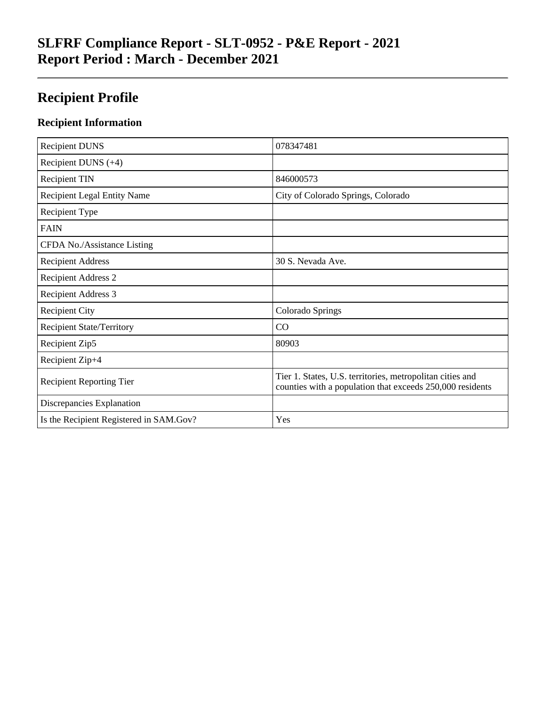# **SLFRF Compliance Report - SLT-0952 - P&E Report - 2021 Report Period : March - December 2021**

# **Recipient Profile**

## **Recipient Information**

| <b>Recipient DUNS</b>                   | 078347481                                                                                                              |
|-----------------------------------------|------------------------------------------------------------------------------------------------------------------------|
| Recipient DUNS $(+4)$                   |                                                                                                                        |
| <b>Recipient TIN</b>                    | 846000573                                                                                                              |
| <b>Recipient Legal Entity Name</b>      | City of Colorado Springs, Colorado                                                                                     |
| Recipient Type                          |                                                                                                                        |
| <b>FAIN</b>                             |                                                                                                                        |
| CFDA No./Assistance Listing             |                                                                                                                        |
| <b>Recipient Address</b>                | 30 S. Nevada Ave.                                                                                                      |
| <b>Recipient Address 2</b>              |                                                                                                                        |
| <b>Recipient Address 3</b>              |                                                                                                                        |
| <b>Recipient City</b>                   | Colorado Springs                                                                                                       |
| <b>Recipient State/Territory</b>        | CO                                                                                                                     |
| Recipient Zip5                          | 80903                                                                                                                  |
| Recipient Zip+4                         |                                                                                                                        |
| <b>Recipient Reporting Tier</b>         | Tier 1. States, U.S. territories, metropolitan cities and<br>counties with a population that exceeds 250,000 residents |
| Discrepancies Explanation               |                                                                                                                        |
| Is the Recipient Registered in SAM.Gov? | Yes                                                                                                                    |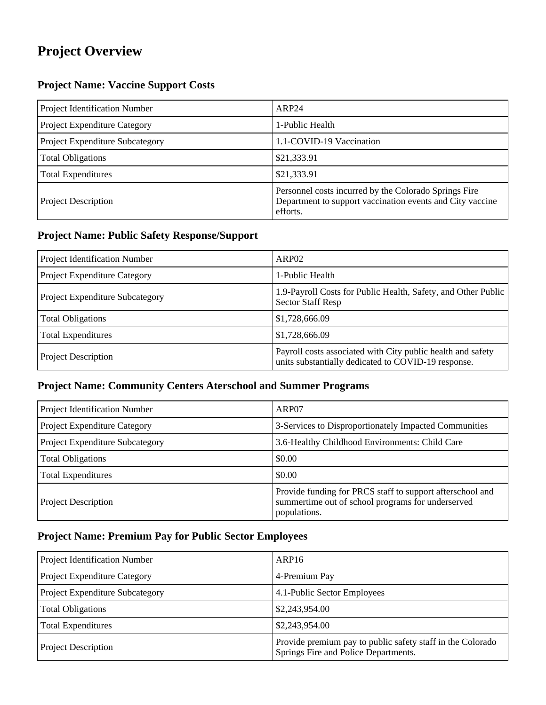# **Project Overview**

### **Project Name: Vaccine Support Costs**

| Project Identification Number   | ARP <sub>24</sub>                                                                                                              |
|---------------------------------|--------------------------------------------------------------------------------------------------------------------------------|
| Project Expenditure Category    | 1-Public Health                                                                                                                |
| Project Expenditure Subcategory | 1.1-COVID-19 Vaccination                                                                                                       |
| <b>Total Obligations</b>        | \$21,333.91                                                                                                                    |
| <b>Total Expenditures</b>       | \$21,333.91                                                                                                                    |
| <b>Project Description</b>      | Personnel costs incurred by the Colorado Springs Fire<br>Department to support vaccination events and City vaccine<br>efforts. |

#### **Project Name: Public Safety Response/Support**

| Project Identification Number          | ARP <sub>02</sub>                                                                                                  |
|----------------------------------------|--------------------------------------------------------------------------------------------------------------------|
| Project Expenditure Category           | 1-Public Health                                                                                                    |
| <b>Project Expenditure Subcategory</b> | 1.9-Payroll Costs for Public Health, Safety, and Other Public<br><b>Sector Staff Resp</b>                          |
| <b>Total Obligations</b>               | \$1,728,666.09                                                                                                     |
| <b>Total Expenditures</b>              | \$1,728,666.09                                                                                                     |
| <b>Project Description</b>             | Payroll costs associated with City public health and safety<br>units substantially dedicated to COVID-19 response. |

### **Project Name: Community Centers Aterschool and Summer Programs**

| Project Identification Number   | ARP07                                                                                                                          |
|---------------------------------|--------------------------------------------------------------------------------------------------------------------------------|
| Project Expenditure Category    | 3-Services to Disproportionately Impacted Communities                                                                          |
| Project Expenditure Subcategory | 3.6-Healthy Childhood Environments: Child Care                                                                                 |
| <b>Total Obligations</b>        | \$0.00                                                                                                                         |
| <b>Total Expenditures</b>       | \$0.00                                                                                                                         |
| <b>Project Description</b>      | Provide funding for PRCS staff to support afterschool and<br>summertime out of school programs for underserved<br>populations. |

## **Project Name: Premium Pay for Public Sector Employees**

| Project Identification Number   | ARP <sub>16</sub>                                                                                  |
|---------------------------------|----------------------------------------------------------------------------------------------------|
| Project Expenditure Category    | 4-Premium Pay                                                                                      |
| Project Expenditure Subcategory | 4.1-Public Sector Employees                                                                        |
| <b>Total Obligations</b>        | \$2,243,954.00                                                                                     |
| <b>Total Expenditures</b>       | \$2,243,954.00                                                                                     |
| <b>Project Description</b>      | Provide premium pay to public safety staff in the Colorado<br>Springs Fire and Police Departments. |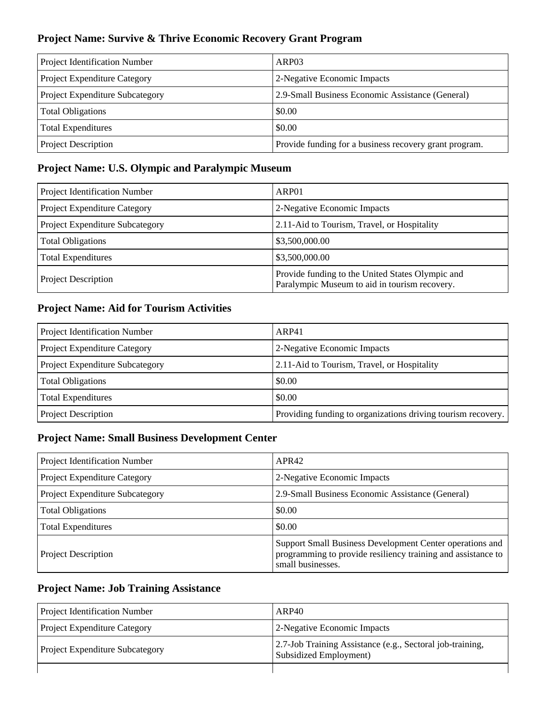### **Project Name: Survive & Thrive Economic Recovery Grant Program**

| Project Identification Number   | ARP <sub>03</sub>                                      |
|---------------------------------|--------------------------------------------------------|
| Project Expenditure Category    | 2-Negative Economic Impacts                            |
| Project Expenditure Subcategory | 2.9-Small Business Economic Assistance (General)       |
| <b>Total Obligations</b>        | \$0.00                                                 |
| <b>Total Expenditures</b>       | \$0.00                                                 |
| <b>Project Description</b>      | Provide funding for a business recovery grant program. |

#### **Project Name: U.S. Olympic and Paralympic Museum**

| Project Identification Number   | ARP01                                                                                             |
|---------------------------------|---------------------------------------------------------------------------------------------------|
| Project Expenditure Category    | 2-Negative Economic Impacts                                                                       |
| Project Expenditure Subcategory | 2.11-Aid to Tourism, Travel, or Hospitality                                                       |
| <b>Total Obligations</b>        | \$3,500,000.00                                                                                    |
| <b>Total Expenditures</b>       | \$3,500,000.00                                                                                    |
| <b>Project Description</b>      | Provide funding to the United States Olympic and<br>Paralympic Museum to aid in tourism recovery. |

## **Project Name: Aid for Tourism Activities**

| Project Identification Number   | ARP41                                                        |
|---------------------------------|--------------------------------------------------------------|
| Project Expenditure Category    | 2-Negative Economic Impacts                                  |
| Project Expenditure Subcategory | 2.11-Aid to Tourism, Travel, or Hospitality                  |
| <b>Total Obligations</b>        | \$0.00                                                       |
| <b>Total Expenditures</b>       | \$0.00                                                       |
| <b>Project Description</b>      | Providing funding to organizations driving tourism recovery. |

### **Project Name: Small Business Development Center**

| Project Identification Number   | APR42                                                                                                                                         |
|---------------------------------|-----------------------------------------------------------------------------------------------------------------------------------------------|
| Project Expenditure Category    | 2-Negative Economic Impacts                                                                                                                   |
| Project Expenditure Subcategory | 2.9-Small Business Economic Assistance (General)                                                                                              |
| <b>Total Obligations</b>        | \$0.00                                                                                                                                        |
| <b>Total Expenditures</b>       | \$0.00                                                                                                                                        |
| <b>Project Description</b>      | Support Small Business Development Center operations and<br>programming to provide resiliency training and assistance to<br>small businesses. |

#### **Project Name: Job Training Assistance**

| <b>Project Identification Number</b>   | ARP40                                                                               |
|----------------------------------------|-------------------------------------------------------------------------------------|
| <b>Project Expenditure Category</b>    | 2-Negative Economic Impacts                                                         |
| <b>Project Expenditure Subcategory</b> | 2.7-Job Training Assistance (e.g., Sectoral job-training,<br>Subsidized Employment) |
|                                        |                                                                                     |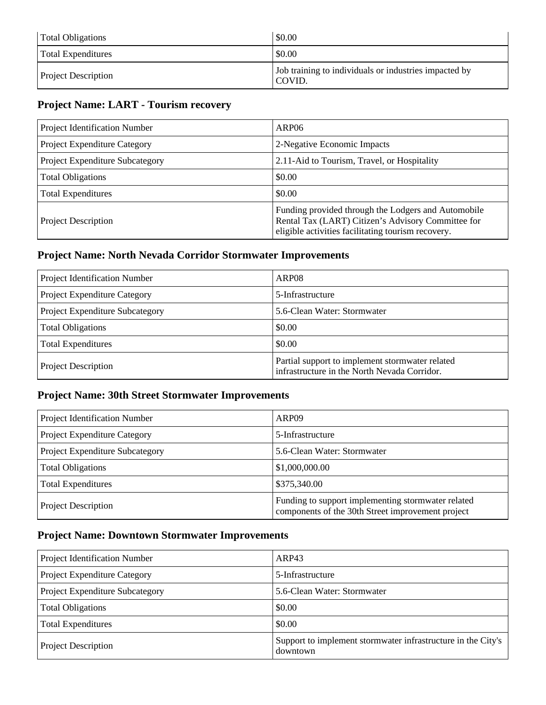| <b>Total Obligations</b>   | \$0.00                                                          |
|----------------------------|-----------------------------------------------------------------|
| <b>Total Expenditures</b>  | \$0.00                                                          |
| <b>Project Description</b> | Job training to individuals or industries impacted by<br>COVID. |

## **Project Name: LART - Tourism recovery**

| Project Identification Number   | ARP <sub>06</sub>                                                                                                                                               |
|---------------------------------|-----------------------------------------------------------------------------------------------------------------------------------------------------------------|
| Project Expenditure Category    | 2-Negative Economic Impacts                                                                                                                                     |
| Project Expenditure Subcategory | 2.11-Aid to Tourism, Travel, or Hospitality                                                                                                                     |
| <b>Total Obligations</b>        | \$0.00                                                                                                                                                          |
| <b>Total Expenditures</b>       | \$0.00                                                                                                                                                          |
| <b>Project Description</b>      | Funding provided through the Lodgers and Automobile<br>Rental Tax (LART) Citizen's Advisory Committee for<br>eligible activities facilitating tourism recovery. |

#### **Project Name: North Nevada Corridor Stormwater Improvements**

| Project Identification Number   | ARP <sub>08</sub>                                                                               |
|---------------------------------|-------------------------------------------------------------------------------------------------|
| Project Expenditure Category    | 5-Infrastructure                                                                                |
| Project Expenditure Subcategory | 5.6-Clean Water: Stormwater                                                                     |
| <b>Total Obligations</b>        | \$0.00                                                                                          |
| <b>Total Expenditures</b>       | \$0.00                                                                                          |
| <b>Project Description</b>      | Partial support to implement stormwater related<br>infrastructure in the North Nevada Corridor. |

## **Project Name: 30th Street Stormwater Improvements**

| Project Identification Number   | ARP <sub>09</sub>                                                                                       |
|---------------------------------|---------------------------------------------------------------------------------------------------------|
| Project Expenditure Category    | 5-Infrastructure                                                                                        |
| Project Expenditure Subcategory | 5.6-Clean Water: Stormwater                                                                             |
| <b>Total Obligations</b>        | \$1,000,000.00                                                                                          |
| <b>Total Expenditures</b>       | \$375,340.00                                                                                            |
| <b>Project Description</b>      | Funding to support implementing stormwater related<br>components of the 30th Street improvement project |

### **Project Name: Downtown Stormwater Improvements**

| Project Identification Number   | ARP43                                                                    |
|---------------------------------|--------------------------------------------------------------------------|
| Project Expenditure Category    | 5-Infrastructure                                                         |
| Project Expenditure Subcategory | 5.6-Clean Water: Stormwater                                              |
| <b>Total Obligations</b>        | \$0.00                                                                   |
| <b>Total Expenditures</b>       | \$0.00                                                                   |
| <b>Project Description</b>      | Support to implement stormwater infrastructure in the City's<br>downtown |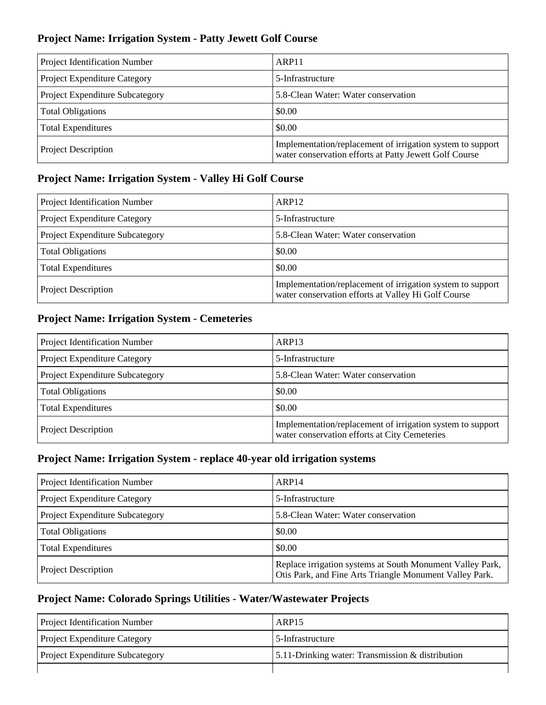#### **Project Name: Irrigation System - Patty Jewett Golf Course**

| Project Identification Number   | ARP <sub>11</sub>                                                                                                    |
|---------------------------------|----------------------------------------------------------------------------------------------------------------------|
| Project Expenditure Category    | 5-Infrastructure                                                                                                     |
| Project Expenditure Subcategory | 5.8-Clean Water: Water conservation                                                                                  |
| <b>Total Obligations</b>        | \$0.00                                                                                                               |
| <b>Total Expenditures</b>       | \$0.00                                                                                                               |
| <b>Project Description</b>      | Implementation/replacement of irrigation system to support<br>water conservation efforts at Patty Jewett Golf Course |

### **Project Name: Irrigation System - Valley Hi Golf Course**

| Project Identification Number   | ARP <sub>12</sub>                                                                                                 |
|---------------------------------|-------------------------------------------------------------------------------------------------------------------|
| Project Expenditure Category    | 5-Infrastructure                                                                                                  |
| Project Expenditure Subcategory | 5.8-Clean Water: Water conservation                                                                               |
| <b>Total Obligations</b>        | \$0.00                                                                                                            |
| <b>Total Expenditures</b>       | \$0.00                                                                                                            |
| <b>Project Description</b>      | Implementation/replacement of irrigation system to support<br>water conservation efforts at Valley Hi Golf Course |

#### **Project Name: Irrigation System - Cemeteries**

| Project Identification Number   | ARP <sub>13</sub>                                                                                           |
|---------------------------------|-------------------------------------------------------------------------------------------------------------|
| Project Expenditure Category    | 5-Infrastructure                                                                                            |
| Project Expenditure Subcategory | 5.8-Clean Water: Water conservation                                                                         |
| <b>Total Obligations</b>        | \$0.00                                                                                                      |
| <b>Total Expenditures</b>       | \$0.00                                                                                                      |
| <b>Project Description</b>      | Implementation/replacement of irrigation system to support<br>water conservation efforts at City Cemeteries |

#### **Project Name: Irrigation System - replace 40-year old irrigation systems**

| Project Identification Number   | ARP <sub>14</sub>                                                                                                    |
|---------------------------------|----------------------------------------------------------------------------------------------------------------------|
| Project Expenditure Category    | 5-Infrastructure                                                                                                     |
| Project Expenditure Subcategory | 5.8-Clean Water: Water conservation                                                                                  |
| <b>Total Obligations</b>        | \$0.00                                                                                                               |
| <b>Total Expenditures</b>       | \$0.00                                                                                                               |
| <b>Project Description</b>      | Replace irrigation systems at South Monument Valley Park,<br>Otis Park, and Fine Arts Triangle Monument Valley Park. |

#### **Project Name: Colorado Springs Utilities - Water/Wastewater Projects**

| <b>Project Identification Number</b>   | ARP <sub>15</sub>                                   |
|----------------------------------------|-----------------------------------------------------|
| <b>Project Expenditure Category</b>    | 5-Infrastructure                                    |
| <b>Project Expenditure Subcategory</b> | 5.11-Drinking water: Transmission $\&$ distribution |
|                                        |                                                     |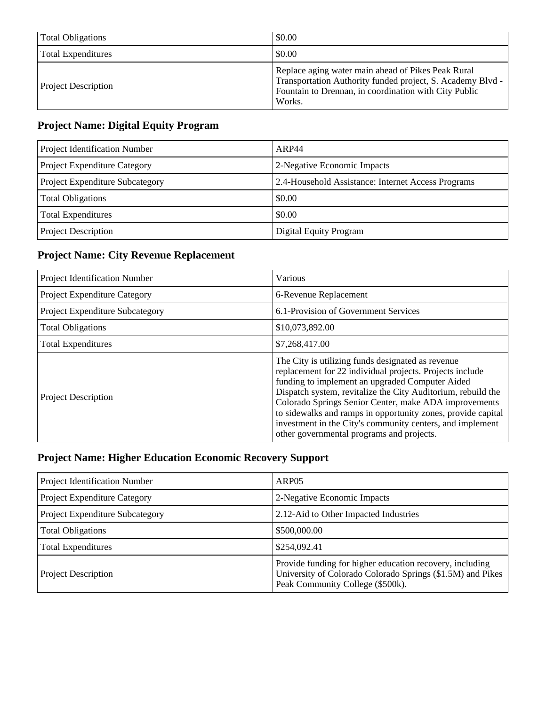| <b>Total Obligations</b>   | \$0.00                                                                                                                                                                              |
|----------------------------|-------------------------------------------------------------------------------------------------------------------------------------------------------------------------------------|
| <b>Total Expenditures</b>  | \$0.00                                                                                                                                                                              |
| <b>Project Description</b> | Replace aging water main ahead of Pikes Peak Rural<br>Transportation Authority funded project, S. Academy Blvd -<br>Fountain to Drennan, in coordination with City Public<br>Works. |

## **Project Name: Digital Equity Program**

| Project Identification Number   | ARP44                                              |
|---------------------------------|----------------------------------------------------|
| Project Expenditure Category    | 2-Negative Economic Impacts                        |
| Project Expenditure Subcategory | 2.4-Household Assistance: Internet Access Programs |
| <b>Total Obligations</b>        | \$0.00                                             |
| <b>Total Expenditures</b>       | \$0.00                                             |
| Project Description             | Digital Equity Program                             |

## **Project Name: City Revenue Replacement**

| Project Identification Number       | Various                                                                                                                                                                                                                                                                                                                                                                                                                                                             |
|-------------------------------------|---------------------------------------------------------------------------------------------------------------------------------------------------------------------------------------------------------------------------------------------------------------------------------------------------------------------------------------------------------------------------------------------------------------------------------------------------------------------|
| <b>Project Expenditure Category</b> | 6-Revenue Replacement                                                                                                                                                                                                                                                                                                                                                                                                                                               |
| Project Expenditure Subcategory     | 6.1-Provision of Government Services                                                                                                                                                                                                                                                                                                                                                                                                                                |
| <b>Total Obligations</b>            | \$10,073,892.00                                                                                                                                                                                                                                                                                                                                                                                                                                                     |
| <b>Total Expenditures</b>           | \$7,268,417.00                                                                                                                                                                                                                                                                                                                                                                                                                                                      |
| <b>Project Description</b>          | The City is utilizing funds designated as revenue<br>replacement for 22 individual projects. Projects include<br>funding to implement an upgraded Computer Aided<br>Dispatch system, revitalize the City Auditorium, rebuild the<br>Colorado Springs Senior Center, make ADA improvements<br>to sidewalks and ramps in opportunity zones, provide capital<br>investment in the City's community centers, and implement<br>other governmental programs and projects. |

## **Project Name: Higher Education Economic Recovery Support**

| Project Identification Number   | ARP <sub>05</sub>                                                                                                                                          |
|---------------------------------|------------------------------------------------------------------------------------------------------------------------------------------------------------|
| Project Expenditure Category    | 2-Negative Economic Impacts                                                                                                                                |
| Project Expenditure Subcategory | 2.12-Aid to Other Impacted Industries                                                                                                                      |
| <b>Total Obligations</b>        | \$500,000.00                                                                                                                                               |
| <b>Total Expenditures</b>       | \$254,092.41                                                                                                                                               |
| <b>Project Description</b>      | Provide funding for higher education recovery, including<br>University of Colorado Colorado Springs (\$1.5M) and Pikes<br>Peak Community College (\$500k). |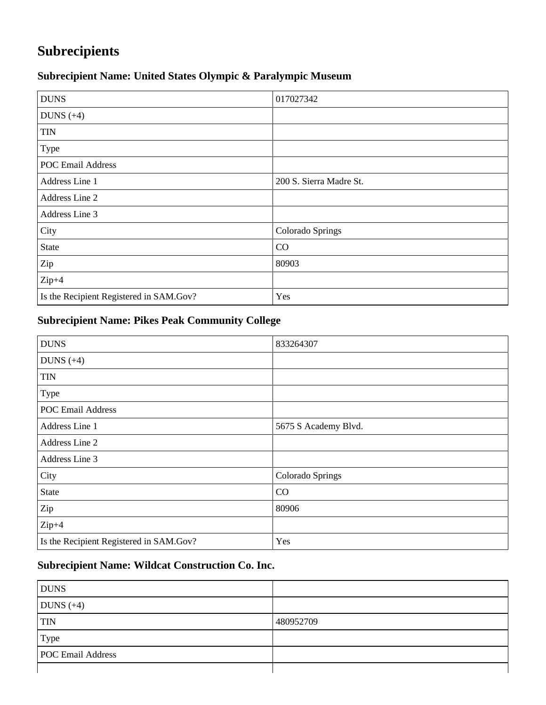# **Subrecipients**

## **Subrecipient Name: United States Olympic & Paralympic Museum**

| <b>DUNS</b>                             | 017027342               |
|-----------------------------------------|-------------------------|
| DUNS $(+4)$                             |                         |
| <b>TIN</b>                              |                         |
| Type                                    |                         |
| <b>POC Email Address</b>                |                         |
| Address Line 1                          | 200 S. Sierra Madre St. |
| Address Line 2                          |                         |
| Address Line 3                          |                         |
| City                                    | Colorado Springs        |
| <b>State</b>                            | CO                      |
| Zip                                     | 80903                   |
| $Zip+4$                                 |                         |
| Is the Recipient Registered in SAM.Gov? | Yes                     |

## **Subrecipient Name: Pikes Peak Community College**

| <b>DUNS</b>                             | 833264307            |
|-----------------------------------------|----------------------|
| DUNS $(+4)$                             |                      |
| <b>TIN</b>                              |                      |
| Type                                    |                      |
| <b>POC Email Address</b>                |                      |
| Address Line 1                          | 5675 S Academy Blvd. |
| Address Line 2                          |                      |
| Address Line 3                          |                      |
| City                                    | Colorado Springs     |
| <b>State</b>                            | CO                   |
| Zip                                     | 80906                |
| $Zip+4$                                 |                      |
| Is the Recipient Registered in SAM.Gov? | Yes                  |

## **Subrecipient Name: Wildcat Construction Co. Inc.**

| <b>DUNS</b>              |           |
|--------------------------|-----------|
| DUNS $(+4)$              |           |
| <b>TIN</b>               | 480952709 |
| Type                     |           |
| <b>POC</b> Email Address |           |
|                          |           |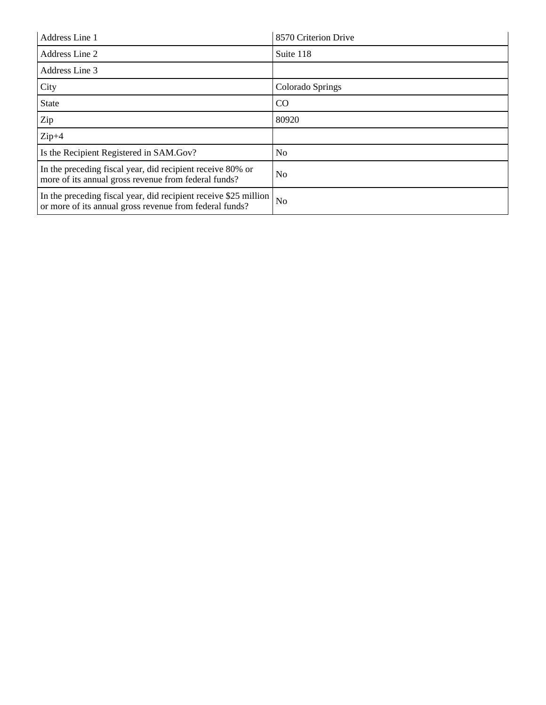| Address Line 1                                                                                                              | 8570 Criterion Drive |
|-----------------------------------------------------------------------------------------------------------------------------|----------------------|
| Address Line 2                                                                                                              | Suite 118            |
| Address Line 3                                                                                                              |                      |
| City                                                                                                                        | Colorado Springs     |
| <b>State</b>                                                                                                                | <sub>CO</sub>        |
| Zip                                                                                                                         | 80920                |
| $Zip+4$                                                                                                                     |                      |
| Is the Recipient Registered in SAM.Gov?                                                                                     | N <sub>0</sub>       |
| In the preceding fiscal year, did recipient receive 80% or<br>more of its annual gross revenue from federal funds?          | N <sub>0</sub>       |
| In the preceding fiscal year, did recipient receive \$25 million<br>or more of its annual gross revenue from federal funds? | N <sub>0</sub>       |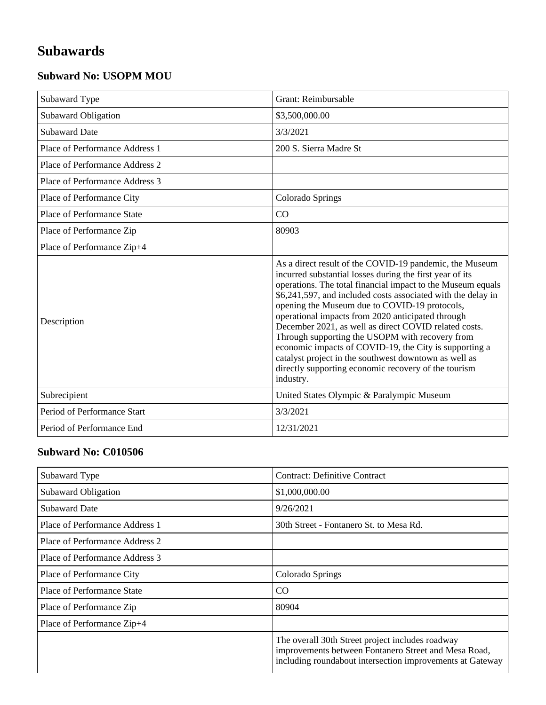# **Subawards**

### **Subward No: USOPM MOU**

| Subaward Type                     | Grant: Reimbursable                                                                                                                                                                                                                                                                                                                                                                                                                                                                                                                                                                                                                                          |
|-----------------------------------|--------------------------------------------------------------------------------------------------------------------------------------------------------------------------------------------------------------------------------------------------------------------------------------------------------------------------------------------------------------------------------------------------------------------------------------------------------------------------------------------------------------------------------------------------------------------------------------------------------------------------------------------------------------|
| Subaward Obligation               | \$3,500,000.00                                                                                                                                                                                                                                                                                                                                                                                                                                                                                                                                                                                                                                               |
| <b>Subaward Date</b>              | 3/3/2021                                                                                                                                                                                                                                                                                                                                                                                                                                                                                                                                                                                                                                                     |
| Place of Performance Address 1    | 200 S. Sierra Madre St                                                                                                                                                                                                                                                                                                                                                                                                                                                                                                                                                                                                                                       |
| Place of Performance Address 2    |                                                                                                                                                                                                                                                                                                                                                                                                                                                                                                                                                                                                                                                              |
| Place of Performance Address 3    |                                                                                                                                                                                                                                                                                                                                                                                                                                                                                                                                                                                                                                                              |
| Place of Performance City         | Colorado Springs                                                                                                                                                                                                                                                                                                                                                                                                                                                                                                                                                                                                                                             |
| <b>Place of Performance State</b> | CO                                                                                                                                                                                                                                                                                                                                                                                                                                                                                                                                                                                                                                                           |
| Place of Performance Zip          | 80903                                                                                                                                                                                                                                                                                                                                                                                                                                                                                                                                                                                                                                                        |
| Place of Performance Zip+4        |                                                                                                                                                                                                                                                                                                                                                                                                                                                                                                                                                                                                                                                              |
| Description                       | As a direct result of the COVID-19 pandemic, the Museum<br>incurred substantial losses during the first year of its<br>operations. The total financial impact to the Museum equals<br>\$6,241,597, and included costs associated with the delay in<br>opening the Museum due to COVID-19 protocols,<br>operational impacts from 2020 anticipated through<br>December 2021, as well as direct COVID related costs.<br>Through supporting the USOPM with recovery from<br>economic impacts of COVID-19, the City is supporting a<br>catalyst project in the southwest downtown as well as<br>directly supporting economic recovery of the tourism<br>industry. |
| Subrecipient                      | United States Olympic & Paralympic Museum                                                                                                                                                                                                                                                                                                                                                                                                                                                                                                                                                                                                                    |
| Period of Performance Start       | 3/3/2021                                                                                                                                                                                                                                                                                                                                                                                                                                                                                                                                                                                                                                                     |
| Period of Performance End         | 12/31/2021                                                                                                                                                                                                                                                                                                                                                                                                                                                                                                                                                                                                                                                   |

#### **Subward No: C010506**

| Subaward Type                  | <b>Contract: Definitive Contract</b>                                                                                                                                  |
|--------------------------------|-----------------------------------------------------------------------------------------------------------------------------------------------------------------------|
| Subaward Obligation            | \$1,000,000.00                                                                                                                                                        |
| <b>Subaward Date</b>           | 9/26/2021                                                                                                                                                             |
| Place of Performance Address 1 | 30th Street - Fontanero St. to Mesa Rd.                                                                                                                               |
| Place of Performance Address 2 |                                                                                                                                                                       |
| Place of Performance Address 3 |                                                                                                                                                                       |
| Place of Performance City      | Colorado Springs                                                                                                                                                      |
| Place of Performance State     | CO                                                                                                                                                                    |
| Place of Performance Zip       | 80904                                                                                                                                                                 |
| Place of Performance Zip+4     |                                                                                                                                                                       |
|                                | The overall 30th Street project includes roadway<br>improvements between Fontanero Street and Mesa Road,<br>including roundabout intersection improvements at Gateway |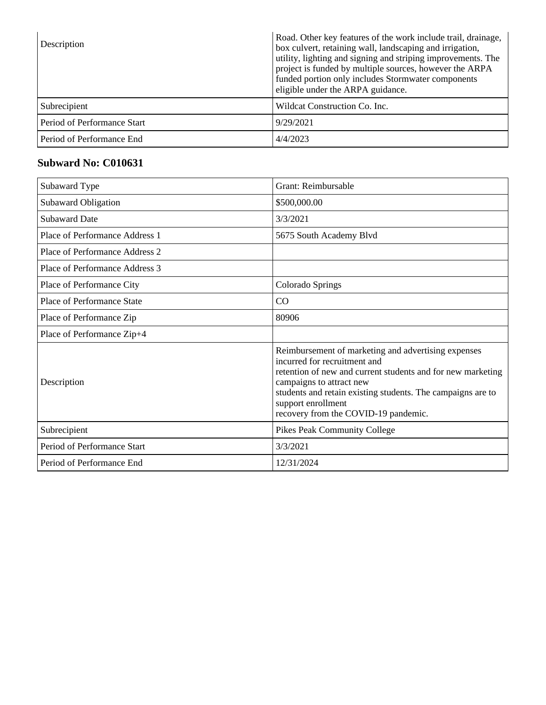| Description                 | Road. Other key features of the work include trail, drainage,<br>box culvert, retaining wall, landscaping and irrigation,<br>utility, lighting and signing and striping improvements. The<br>project is funded by multiple sources, however the ARPA<br>funded portion only includes Stormwater components<br>eligible under the ARPA guidance. |
|-----------------------------|-------------------------------------------------------------------------------------------------------------------------------------------------------------------------------------------------------------------------------------------------------------------------------------------------------------------------------------------------|
| Subrecipient                | Wildcat Construction Co. Inc.                                                                                                                                                                                                                                                                                                                   |
| Period of Performance Start | 9/29/2021                                                                                                                                                                                                                                                                                                                                       |
| Period of Performance End   | 4/4/2023                                                                                                                                                                                                                                                                                                                                        |

#### **Subward No: C010631**

| Subaward Type                  | Grant: Reimbursable                                                                                                                                                                                                                                                                                         |
|--------------------------------|-------------------------------------------------------------------------------------------------------------------------------------------------------------------------------------------------------------------------------------------------------------------------------------------------------------|
| Subaward Obligation            | \$500,000.00                                                                                                                                                                                                                                                                                                |
| <b>Subaward Date</b>           | 3/3/2021                                                                                                                                                                                                                                                                                                    |
| Place of Performance Address 1 | 5675 South Academy Blvd                                                                                                                                                                                                                                                                                     |
| Place of Performance Address 2 |                                                                                                                                                                                                                                                                                                             |
| Place of Performance Address 3 |                                                                                                                                                                                                                                                                                                             |
| Place of Performance City      | Colorado Springs                                                                                                                                                                                                                                                                                            |
| Place of Performance State     | CO                                                                                                                                                                                                                                                                                                          |
| Place of Performance Zip       | 80906                                                                                                                                                                                                                                                                                                       |
| Place of Performance Zip+4     |                                                                                                                                                                                                                                                                                                             |
| Description                    | Reimbursement of marketing and advertising expenses<br>incurred for recruitment and<br>retention of new and current students and for new marketing<br>campaigns to attract new<br>students and retain existing students. The campaigns are to<br>support enrollment<br>recovery from the COVID-19 pandemic. |
| Subrecipient                   | <b>Pikes Peak Community College</b>                                                                                                                                                                                                                                                                         |
| Period of Performance Start    | 3/3/2021                                                                                                                                                                                                                                                                                                    |
| Period of Performance End      | 12/31/2024                                                                                                                                                                                                                                                                                                  |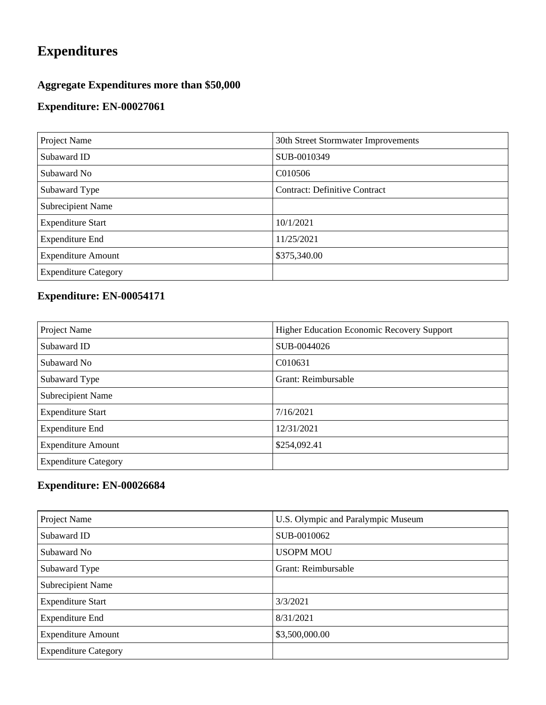# **Expenditures**

## **Aggregate Expenditures more than \$50,000**

### **Expenditure: EN-00027061**

| Project Name                | 30th Street Stormwater Improvements  |
|-----------------------------|--------------------------------------|
| Subaward ID                 | SUB-0010349                          |
| Subaward No                 | C010506                              |
| Subaward Type               | <b>Contract: Definitive Contract</b> |
| <b>Subrecipient Name</b>    |                                      |
| <b>Expenditure Start</b>    | 10/1/2021                            |
| <b>Expenditure End</b>      | 11/25/2021                           |
| <b>Expenditure Amount</b>   | \$375,340.00                         |
| <b>Expenditure Category</b> |                                      |

## **Expenditure: EN-00054171**

| Project Name                | <b>Higher Education Economic Recovery Support</b> |
|-----------------------------|---------------------------------------------------|
| Subaward ID                 | SUB-0044026                                       |
| Subaward No                 | C010631                                           |
| Subaward Type               | Grant: Reimbursable                               |
| <b>Subrecipient Name</b>    |                                                   |
| <b>Expenditure Start</b>    | 7/16/2021                                         |
| <b>Expenditure End</b>      | 12/31/2021                                        |
| <b>Expenditure Amount</b>   | \$254,092.41                                      |
| <b>Expenditure Category</b> |                                                   |

## **Expenditure: EN-00026684**

| Project Name                | U.S. Olympic and Paralympic Museum |
|-----------------------------|------------------------------------|
| Subaward ID                 | SUB-0010062                        |
| Subaward No                 | <b>USOPM MOU</b>                   |
| Subaward Type               | Grant: Reimbursable                |
| <b>Subrecipient Name</b>    |                                    |
| <b>Expenditure Start</b>    | 3/3/2021                           |
| <b>Expenditure End</b>      | 8/31/2021                          |
| <b>Expenditure Amount</b>   | \$3,500,000.00                     |
| <b>Expenditure Category</b> |                                    |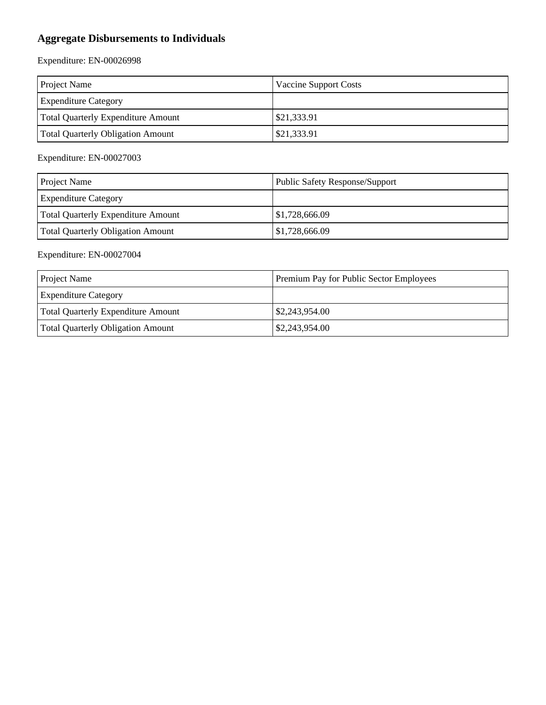## **Aggregate Disbursements to Individuals**

Expenditure: EN-00026998

| <b>Project Name</b>                      | Vaccine Support Costs |
|------------------------------------------|-----------------------|
| <b>Expenditure Category</b>              |                       |
| Total Quarterly Expenditure Amount       | \$21,333.91           |
| <b>Total Quarterly Obligation Amount</b> | \$21,333.91           |

Expenditure: EN-00027003

| <b>Project Name</b>                      | <b>Public Safety Response/Support</b> |
|------------------------------------------|---------------------------------------|
| <b>Expenditure Category</b>              |                                       |
| Total Quarterly Expenditure Amount       | \$1,728,666.09                        |
| <b>Total Quarterly Obligation Amount</b> | \$1,728,666.09                        |

#### Expenditure: EN-00027004

| <b>Project Name</b>                      | Premium Pay for Public Sector Employees |
|------------------------------------------|-----------------------------------------|
| <b>Expenditure Category</b>              |                                         |
| Total Quarterly Expenditure Amount       | $\frac{$2,243,954.00}{$                 |
| <b>Total Quarterly Obligation Amount</b> | $\frac{$2,243,954.00}{$                 |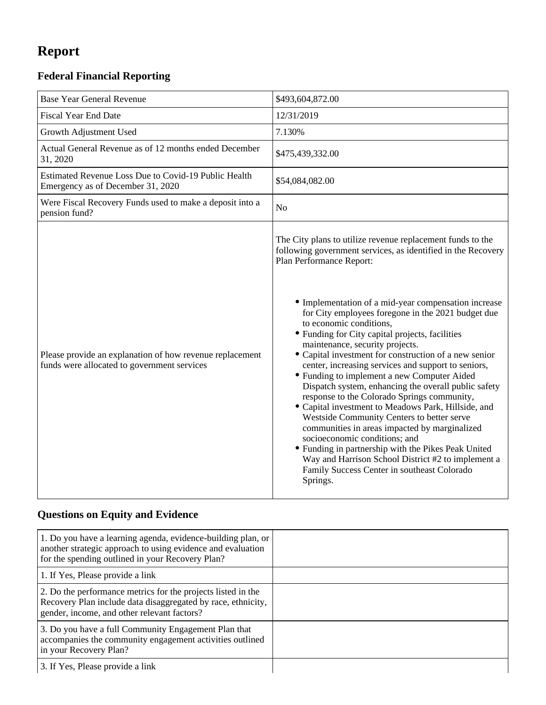# **Report**

## **Federal Financial Reporting**

| <b>Base Year General Revenue</b>                                                                        | \$493,604,872.00                                                                                                                                                                                                                                                                                                                                                                                                                                                                                                                                                                                                                                                                                                                                                                                                                                                                                                                                                                                                           |
|---------------------------------------------------------------------------------------------------------|----------------------------------------------------------------------------------------------------------------------------------------------------------------------------------------------------------------------------------------------------------------------------------------------------------------------------------------------------------------------------------------------------------------------------------------------------------------------------------------------------------------------------------------------------------------------------------------------------------------------------------------------------------------------------------------------------------------------------------------------------------------------------------------------------------------------------------------------------------------------------------------------------------------------------------------------------------------------------------------------------------------------------|
|                                                                                                         |                                                                                                                                                                                                                                                                                                                                                                                                                                                                                                                                                                                                                                                                                                                                                                                                                                                                                                                                                                                                                            |
| <b>Fiscal Year End Date</b>                                                                             | 12/31/2019                                                                                                                                                                                                                                                                                                                                                                                                                                                                                                                                                                                                                                                                                                                                                                                                                                                                                                                                                                                                                 |
| Growth Adjustment Used                                                                                  | 7.130%                                                                                                                                                                                                                                                                                                                                                                                                                                                                                                                                                                                                                                                                                                                                                                                                                                                                                                                                                                                                                     |
| Actual General Revenue as of 12 months ended December<br>31, 2020                                       | \$475,439,332.00                                                                                                                                                                                                                                                                                                                                                                                                                                                                                                                                                                                                                                                                                                                                                                                                                                                                                                                                                                                                           |
| Estimated Revenue Loss Due to Covid-19 Public Health<br>Emergency as of December 31, 2020               | \$54,084,082.00                                                                                                                                                                                                                                                                                                                                                                                                                                                                                                                                                                                                                                                                                                                                                                                                                                                                                                                                                                                                            |
| Were Fiscal Recovery Funds used to make a deposit into a<br>pension fund?                               | N <sub>o</sub>                                                                                                                                                                                                                                                                                                                                                                                                                                                                                                                                                                                                                                                                                                                                                                                                                                                                                                                                                                                                             |
| Please provide an explanation of how revenue replacement<br>funds were allocated to government services | The City plans to utilize revenue replacement funds to the<br>following government services, as identified in the Recovery<br>Plan Performance Report:<br>• Implementation of a mid-year compensation increase<br>for City employees foregone in the 2021 budget due<br>to economic conditions,<br>• Funding for City capital projects, facilities<br>maintenance, security projects.<br>• Capital investment for construction of a new senior<br>center, increasing services and support to seniors,<br>• Funding to implement a new Computer Aided<br>Dispatch system, enhancing the overall public safety<br>response to the Colorado Springs community,<br>• Capital investment to Meadows Park, Hillside, and<br>Westside Community Centers to better serve<br>communities in areas impacted by marginalized<br>socioeconomic conditions; and<br>• Funding in partnership with the Pikes Peak United<br>Way and Harrison School District #2 to implement a<br>Family Success Center in southeast Colorado<br>Springs. |

## **Questions on Equity and Evidence**

| 1. Do you have a learning agenda, evidence-building plan, or<br>another strategic approach to using evidence and evaluation<br>for the spending outlined in your Recovery Plan? |  |
|---------------------------------------------------------------------------------------------------------------------------------------------------------------------------------|--|
| 1. If Yes, Please provide a link                                                                                                                                                |  |
| 2. Do the performance metrics for the projects listed in the<br>Recovery Plan include data disaggregated by race, ethnicity,<br>gender, income, and other relevant factors?     |  |
| 3. Do you have a full Community Engagement Plan that<br>accompanies the community engagement activities outlined<br>in your Recovery Plan?                                      |  |
| 3. If Yes, Please provide a link                                                                                                                                                |  |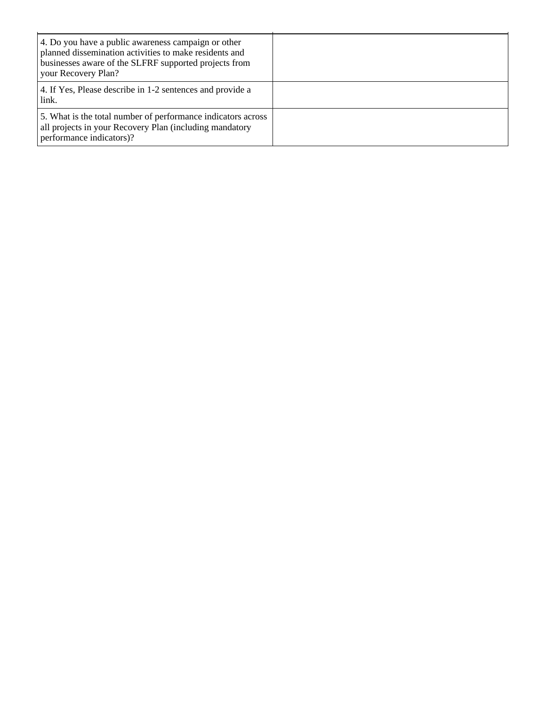| 4. Do you have a public awareness campaign or other<br>planned dissemination activities to make residents and<br>businesses aware of the SLFRF supported projects from<br>your Recovery Plan? |  |
|-----------------------------------------------------------------------------------------------------------------------------------------------------------------------------------------------|--|
| 4. If Yes, Please describe in 1-2 sentences and provide a<br>link.                                                                                                                            |  |
| 5. What is the total number of performance indicators across<br>all projects in your Recovery Plan (including mandatory<br>performance indicators)?                                           |  |